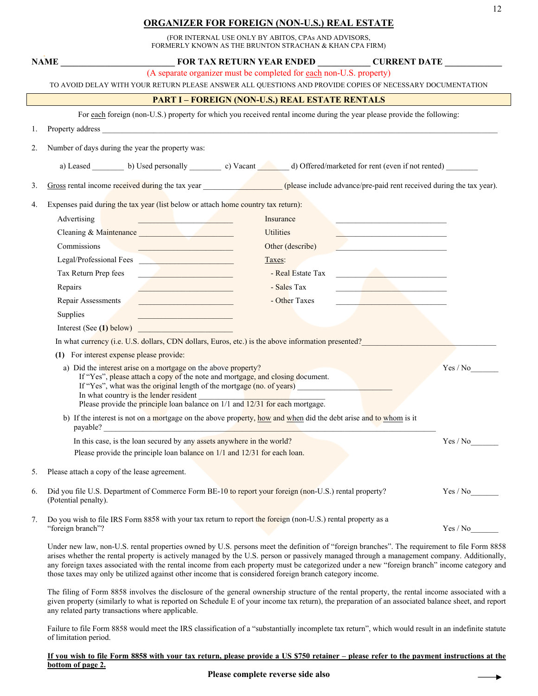## **ORGANIZER FOR FOREIGN (NON-U.S.) REAL ESTATE**

(FOR INTERNAL USE ONLY BY ABITOS, CPAs AND ADVISORS, FORMERLY KNOWN AS THE BRUNTON STRACHAN & KHAN CPA FIRM)

|                                                                                                                                                                                                                                                                                                                                                          | <b>NAME</b>                                                                                                                                                                                                                    | FOR TAX RETURN YEAR ENDED _____________ CURRENT DATE ____________ |  |  |  |
|----------------------------------------------------------------------------------------------------------------------------------------------------------------------------------------------------------------------------------------------------------------------------------------------------------------------------------------------------------|--------------------------------------------------------------------------------------------------------------------------------------------------------------------------------------------------------------------------------|-------------------------------------------------------------------|--|--|--|
|                                                                                                                                                                                                                                                                                                                                                          | (A separate organizer must be completed for each non-U.S. property)                                                                                                                                                            |                                                                   |  |  |  |
|                                                                                                                                                                                                                                                                                                                                                          | TO AVOID DELAY WITH YOUR RETURN PLEASE ANSWER ALL QUESTIONS AND PROVIDE COPIES OF NECESSARY DOCUMENTATION                                                                                                                      |                                                                   |  |  |  |
| <b>PART I - FOREIGN (NON-U.S.) REAL ESTATE RENTALS</b>                                                                                                                                                                                                                                                                                                   |                                                                                                                                                                                                                                |                                                                   |  |  |  |
|                                                                                                                                                                                                                                                                                                                                                          | For each foreign (non-U.S.) property for which you received rental income during the year please provide the following:                                                                                                        |                                                                   |  |  |  |
| 1.                                                                                                                                                                                                                                                                                                                                                       | Property address experience of the state of the state of the state of the state of the state of the state of the state of the state of the state of the state of the state of the state of the state of the state of the state |                                                                   |  |  |  |
| 2.                                                                                                                                                                                                                                                                                                                                                       | Number of days during the year the property was:                                                                                                                                                                               |                                                                   |  |  |  |
|                                                                                                                                                                                                                                                                                                                                                          | a) Leased _________ b) Used personally __________ c) Vacant _______ d) Offered/marketed for rent (even if not rented) ________                                                                                                 |                                                                   |  |  |  |
| 3.                                                                                                                                                                                                                                                                                                                                                       | Gross rental income received during the tax year (please include advance/pre-paid rent received during the tax year).                                                                                                          |                                                                   |  |  |  |
| 4.                                                                                                                                                                                                                                                                                                                                                       | Expenses paid during the tax year (list below or attach home country tax return):                                                                                                                                              |                                                                   |  |  |  |
|                                                                                                                                                                                                                                                                                                                                                          | Advertising<br>Insurance<br><u>and the state of the state of the state</u>                                                                                                                                                     |                                                                   |  |  |  |
|                                                                                                                                                                                                                                                                                                                                                          | <b>Utilities</b><br>Cleaning & Maintenance                                                                                                                                                                                     |                                                                   |  |  |  |
|                                                                                                                                                                                                                                                                                                                                                          | Commissions<br>Other (describe)<br><u> 1980 - Johann Barbara, martin a</u>                                                                                                                                                     |                                                                   |  |  |  |
|                                                                                                                                                                                                                                                                                                                                                          | Legal/Professional Fees<br>Taxes:                                                                                                                                                                                              |                                                                   |  |  |  |
|                                                                                                                                                                                                                                                                                                                                                          | Tax Return Prep fees<br>- Real Estate Tax<br>the company of the company of the company                                                                                                                                         | the control of the control of the                                 |  |  |  |
|                                                                                                                                                                                                                                                                                                                                                          | Repairs<br>- Sales Tax<br><u> 1980 - Johann Barbara, martxa alemaniar a</u>                                                                                                                                                    | the contract of the contract of the contract of                   |  |  |  |
|                                                                                                                                                                                                                                                                                                                                                          | Repair Assessments<br>- Other Taxes<br><u> 1970 - Johann Barnett, fransk kongresu</u>                                                                                                                                          | the contract of the contract of the                               |  |  |  |
|                                                                                                                                                                                                                                                                                                                                                          | Supplies<br><u> 1989 - Johann Harry Barn, mars ar breist fan de Fryske kommunent fan de Fryske kommunent fan de Fryske kommun</u>                                                                                              |                                                                   |  |  |  |
|                                                                                                                                                                                                                                                                                                                                                          | Interest (See (1) below)                                                                                                                                                                                                       |                                                                   |  |  |  |
|                                                                                                                                                                                                                                                                                                                                                          | In what currency (i.e. U.S. dollars, CDN dollars, Euros, etc.) is the above information presented?                                                                                                                             |                                                                   |  |  |  |
| (1) For interest expense please provide:                                                                                                                                                                                                                                                                                                                 |                                                                                                                                                                                                                                |                                                                   |  |  |  |
| a) Did the interest arise on a mortgage on the above property?<br>If "Yes", please attach a copy of the note and mortgage, and closing document.<br>If "Yes", what was the original length of the mortgage (no. of years)<br>In what country is the lender resident<br>Please provide the principle loan balance on $1/1$ and $12/31$ for each mortgage. |                                                                                                                                                                                                                                | Yes / No                                                          |  |  |  |
|                                                                                                                                                                                                                                                                                                                                                          | b) If the interest is not on a mortgage on the above property, how and when did the debt arise and to whom is it<br>payable?                                                                                                   |                                                                   |  |  |  |
|                                                                                                                                                                                                                                                                                                                                                          | In this case, is the loan secured by any assets anywhere in the world?<br>Please provide the principle loan balance on 1/1 and 12/31 for each loan.                                                                            | Yes / No                                                          |  |  |  |
| 5.                                                                                                                                                                                                                                                                                                                                                       | Please attach a copy of the lease agreement.                                                                                                                                                                                   |                                                                   |  |  |  |
| 6.                                                                                                                                                                                                                                                                                                                                                       | Did you file U.S. Department of Commerce Form BE-10 to report your foreign (non-U.S.) rental property?<br>(Potential penalty).                                                                                                 | Yes / No                                                          |  |  |  |
| 7.                                                                                                                                                                                                                                                                                                                                                       | Do you wish to file IRS Form 8858 with your tax return to report the foreign (non-U.S.) rental property as a<br>"foreign branch"?                                                                                              | Yes / No                                                          |  |  |  |

Under new law, non-U.S. rental properties owned by U.S. persons meet the definition of "foreign branches". The requirement to file Form 8858 arises whether the rental property is actively managed by the U.S. person or passively managed through a management company. Additionally, any foreign taxes associated with the rental income from each property must be categorized under a new "foreign branch" income category and those taxes may only be utilized against other income that is considered foreign branch category income.

The filing of Form 8858 involves the disclosure of the general ownership structure of the rental property, the rental income associated with a given property (similarly to what is reported on Schedule E of your income tax return), the preparation of an associated balance sheet, and report any related party transactions where applicable.

Failure to file Form 8858 would meet the IRS classification of a "substantially incomplete tax return", which would result in an indefinite statute of limitation period.

## **If you wish to file Form 8858 with your tax return, please provide a US \$750 retainer – please refer to the payment instructions at the bottom of page 2.**